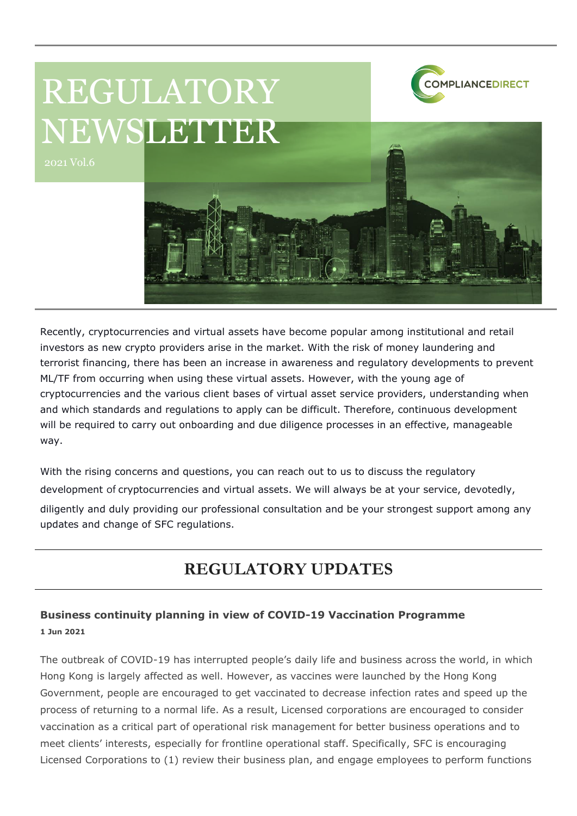# REGULATORY NEWSLETTER





**COMPLIANCEDIRECT** 

Recently, cryptocurrencies and virtual assets have become popular among institutional and retail investors as new crypto providers arise in the market. With the risk of money laundering and terrorist financing, there has been an increase in awareness and regulatory developments to prevent ML/TF from occurring when using these virtual assets. However, with the young age of cryptocurrencies and the various client bases of virtual asset service providers, understanding when and which standards and regulations to apply can be difficult. Therefore, continuous development will be required to carry out onboarding and due diligence processes in an effective, manageable way.

With the rising concerns and questions, you can reach out to us to discuss the regulatory development of cryptocurrencies and virtual assets. We will always be at your service, devotedly, diligently and duly providing our professional consultation and be your strongest support among any updates and change of SFC regulations.

# **REGULATORY UPDATES**

# **Business continuity planning in view of COVID-19 Vaccination Programme 1 Jun 2021**

The outbreak of COVID-19 has interrupted people's daily life and business across the world, in which Hong Kong is largely affected as well. However, as vaccines were launched by the Hong Kong Government, people are encouraged to get vaccinated to decrease infection rates and speed up the process of returning to a normal life. As a result, Licensed corporations are encouraged to consider vaccination as a critical part of operational risk management for better business operations and to meet clients' interests, especially for frontline operational staff. Specifically, SFC is encouraging Licensed Corporations to (1) review their business plan, and engage employees to perform functions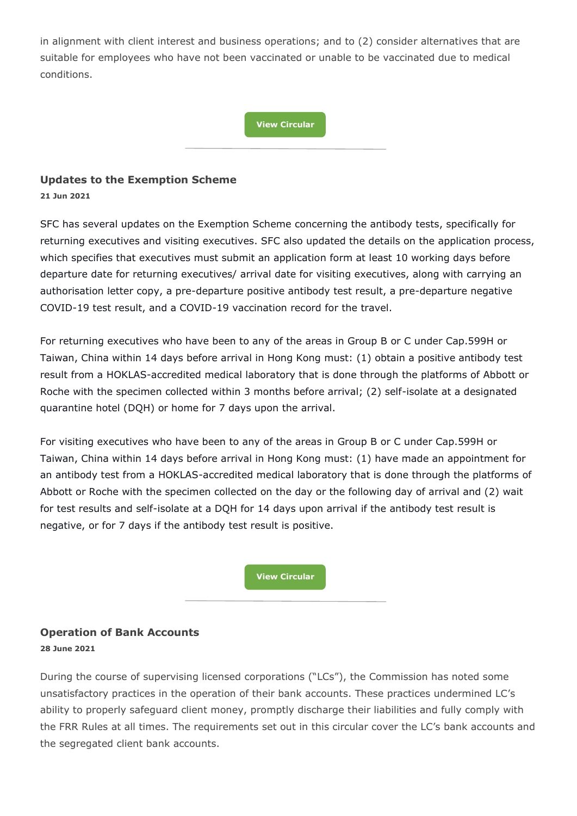in alignment with client interest and business operations; and to (2) consider alternatives that are suitable for employees who have not been vaccinated or unable to be vaccinated due to medical conditions.

#### **[View Circular](https://apps.sfc.hk/edistributionWeb/gateway/EN/circular/intermediaries/supervision/doc?refNo=21EC21)**

#### **Updates to the Exemption Scheme**

**21 Jun 2021**

SFC has several updates on the Exemption Scheme concerning the antibody tests, specifically for returning executives and visiting executives. SFC also updated the details on the application process, which specifies that executives must submit an application form at least 10 working days before departure date for returning executives/ arrival date for visiting executives, along with carrying an authorisation letter copy, a pre-departure positive antibody test result, a pre-departure negative COVID-19 test result, and a COVID-19 vaccination record for the travel.

For returning executives who have been to any of the areas in Group B or C under Cap.599H or Taiwan, China within 14 days before arrival in Hong Kong must: (1) obtain a positive antibody test result from a HOKLAS-accredited medical laboratory that is done through the platforms of Abbott or Roche with the specimen collected within 3 months before arrival; (2) self-isolate at a designated quarantine hotel (DQH) or home for 7 days upon the arrival.

For visiting executives who have been to any of the areas in Group B or C under Cap.599H or Taiwan, China within 14 days before arrival in Hong Kong must: (1) have made an appointment for an antibody test from a HOKLAS-accredited medical laboratory that is done through the platforms of Abbott or Roche with the specimen collected on the day or the following day of arrival and (2) wait for test results and self-isolate at a DQH for 14 days upon arrival if the antibody test result is negative, or for 7 days if the antibody test result is positive.

**[View Circular](https://apps.sfc.hk/edistributionWeb/gateway/EN/circular/doc?refNo=21EC24)**

#### **Operation of Bank Accounts 28 June 2021**

During the course of supervising licensed corporations ("LCs"), the Commission has noted some unsatisfactory practices in the operation of their bank accounts. These practices undermined LC's ability to properly safeguard client money, promptly discharge their liabilities and fully comply with the FRR Rules at all times. The requirements set out in this circular cover the LC's bank accounts and the segregated client bank accounts.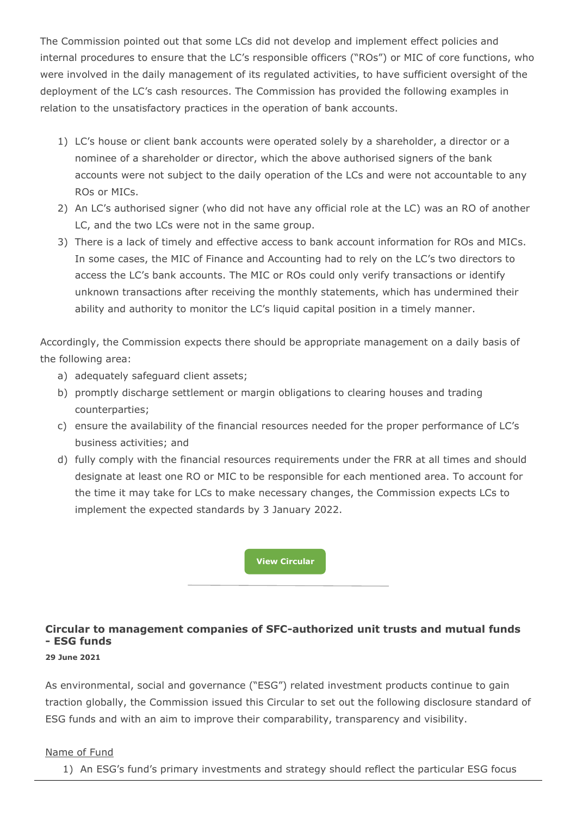The Commission pointed out that some LCs did not develop and implement effect policies and internal procedures to ensure that the LC's responsible officers ("ROs") or MIC of core functions, who were involved in the daily management of its regulated activities, to have sufficient oversight of the deployment of the LC's cash resources. The Commission has provided the following examples in relation to the unsatisfactory practices in the operation of bank accounts.

- 1) LC's house or client bank accounts were operated solely by a shareholder, a director or a nominee of a shareholder or director, which the above authorised signers of the bank accounts were not subject to the daily operation of the LCs and were not accountable to any ROs or MICs.
- 2) An LC's authorised signer (who did not have any official role at the LC) was an RO of another LC, and the two LCs were not in the same group.
- 3) There is a lack of timely and effective access to bank account information for ROs and MICs. In some cases, the MIC of Finance and Accounting had to rely on the LC's two directors to access the LC's bank accounts. The MIC or ROs could only verify transactions or identify unknown transactions after receiving the monthly statements, which has undermined their ability and authority to monitor the LC's liquid capital position in a timely manner.

Accordingly, the Commission expects there should be appropriate management on a daily basis of the following area:

- a) adequately safeguard client assets;
- b) promptly discharge settlement or margin obligations to clearing houses and trading counterparties;
- c) ensure the availability of the financial resources needed for the proper performance of LC's business activities; and
- d) fully comply with the financial resources requirements under the FRR at all times and should designate at least one RO or MIC to be responsible for each mentioned area. To account for the time it may take for LCs to make necessary changes, the Commission expects LCs to implement the expected standards by 3 January 2022.

**[View Circular](https://apps.sfc.hk/edistributionWeb/gateway/EN/circular/intermediaries/supervision/doc?refNo=21EC25)**

# **Circular to management companies of SFC-authorized unit trusts and mutual funds - ESG funds**

#### **29 June 2021**

As environmental, social and governance ("ESG") related investment products continue to gain traction globally, the Commission issued this Circular to set out the following disclosure standard of ESG funds and with an aim to improve their comparability, transparency and visibility.

#### Name of Fund

1) An ESG's fund's primary investments and strategy should reflect the particular ESG focus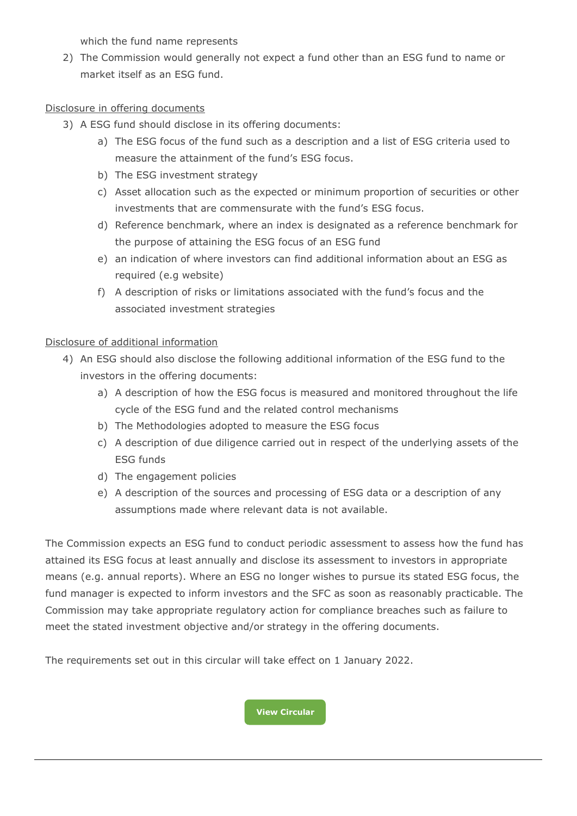which the fund name represents

2) The Commission would generally not expect a fund other than an ESG fund to name or market itself as an ESG fund.

#### Disclosure in offering documents

- 3) A ESG fund should disclose in its offering documents:
	- a) The ESG focus of the fund such as a description and a list of ESG criteria used to measure the attainment of the fund's ESG focus.
	- b) The ESG investment strategy
	- c) Asset allocation such as the expected or minimum proportion of securities or other investments that are commensurate with the fund's ESG focus.
	- d) Reference benchmark, where an index is designated as a reference benchmark for the purpose of attaining the ESG focus of an ESG fund
	- e) an indication of where investors can find additional information about an ESG as required (e.g website)
	- f) A description of risks or limitations associated with the fund's focus and the associated investment strategies

#### Disclosure of additional information

- 4) An ESG should also disclose the following additional information of the ESG fund to the investors in the offering documents:
	- a) A description of how the ESG focus is measured and monitored throughout the life cycle of the ESG fund and the related control mechanisms
	- b) The Methodologies adopted to measure the ESG focus
	- c) A description of due diligence carried out in respect of the underlying assets of the ESG funds
	- d) The engagement policies
	- e) A description of the sources and processing of ESG data or a description of any assumptions made where relevant data is not available.

The Commission expects an ESG fund to conduct periodic assessment to assess how the fund has attained its ESG focus at least annually and disclose its assessment to investors in appropriate means (e.g. annual reports). Where an ESG no longer wishes to pursue its stated ESG focus, the fund manager is expected to inform investors and the SFC as soon as reasonably practicable. The Commission may take appropriate regulatory action for compliance breaches such as failure to meet the stated investment objective and/or strategy in the offering documents.

The requirements set out in this circular will take effect on 1 January 2022.